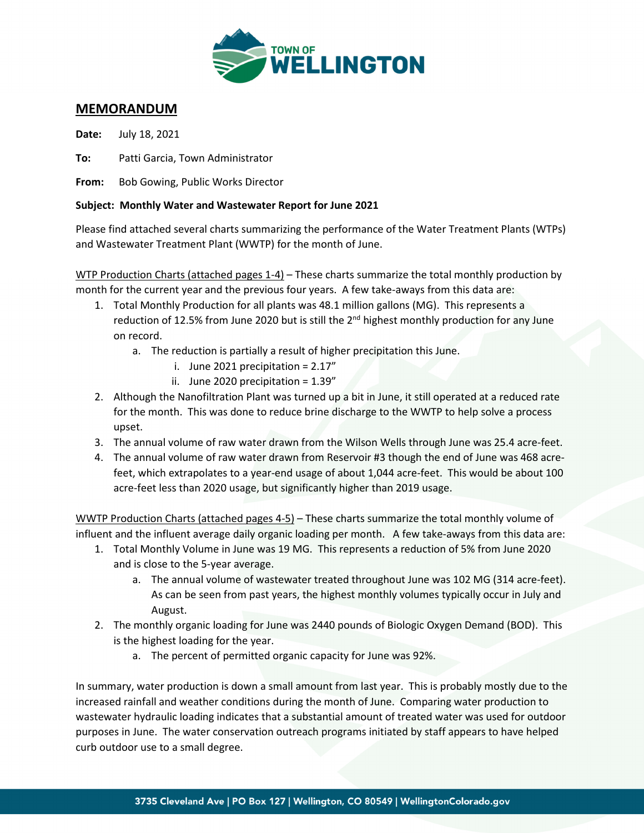

#### **MEMORANDUM**

**Date:** July 18, 2021

**To:** Patti Garcia, Town Administrator

**From:** Bob Gowing, Public Works Director

#### **Subject: Monthly Water and Wastewater Report for June 2021**

Please find attached several charts summarizing the performance of the Water Treatment Plants (WTPs) and Wastewater Treatment Plant (WWTP) for the month of June.

WTP Production Charts (attached pages 1-4) – These charts summarize the total monthly production by month for the current year and the previous four years. A few take-aways from this data are:

- 1. Total Monthly Production for all plants was 48.1 million gallons (MG). This represents a reduction of 12.5% from June 2020 but is still the 2<sup>nd</sup> highest monthly production for any June on record.
	- a. The reduction is partially a result of higher precipitation this June.
		- i. June 2021 precipitation =  $2.17''$
		- ii. June 2020 precipitation =  $1.39''$
- 2. Although the Nanofiltration Plant was turned up a bit in June, it still operated at a reduced rate for the month. This was done to reduce brine discharge to the WWTP to help solve a process upset.
- 3. The annual volume of raw water drawn from the Wilson Wells through June was 25.4 acre-feet.
- 4. The annual volume of raw water drawn from Reservoir #3 though the end of June was 468 acrefeet, which extrapolates to a year-end usage of about 1,044 acre-feet. This would be about 100 acre-feet less than 2020 usage, but significantly higher than 2019 usage.

WWTP Production Charts (attached pages 4-5) – These charts summarize the total monthly volume of influent and the influent average daily organic loading per month. A few take-aways from this data are:

- 1. Total Monthly Volume in June was 19 MG. This represents a reduction of 5% from June 2020 and is close to the 5-year average.
	- a. The annual volume of wastewater treated throughout June was 102 MG (314 acre-feet). As can be seen from past years, the highest monthly volumes typically occur in July and August.
- 2. The monthly organic loading for June was 2440 pounds of Biologic Oxygen Demand (BOD). This is the highest loading for the year.
	- a. The percent of permitted organic capacity for June was 92%.

In summary, water production is down a small amount from last year. This is probably mostly due to the increased rainfall and weather conditions during the month of June. Comparing water production to wastewater hydraulic loading indicates that a substantial amount of treated water was used for outdoor purposes in June. The water conservation outreach programs initiated by staff appears to have helped curb outdoor use to a small degree.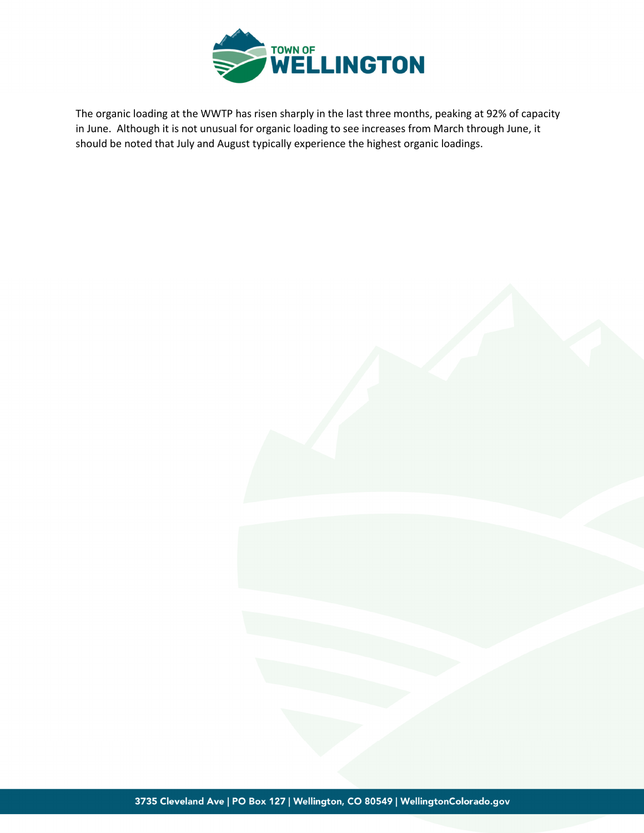

The organic loading at the WWTP has risen sharply in the last three months, peaking at 92% of capacity in June. Although it is not unusual for organic loading to see increases from March through June, it should be noted that July and August typically experience the highest organic loadings.

3735 Cleveland Ave | PO Box 127 | Wellington, CO 80549 | WellingtonColorado.gov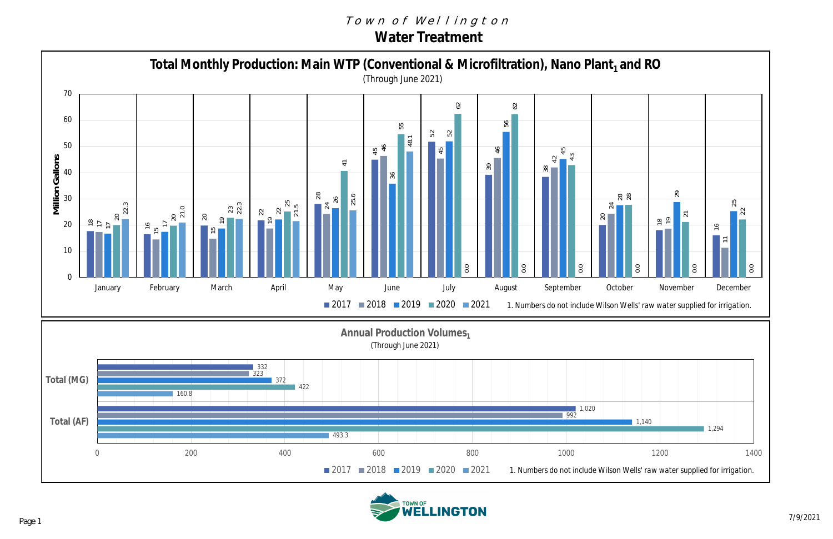#### Town of Wellington **Water Treatment**



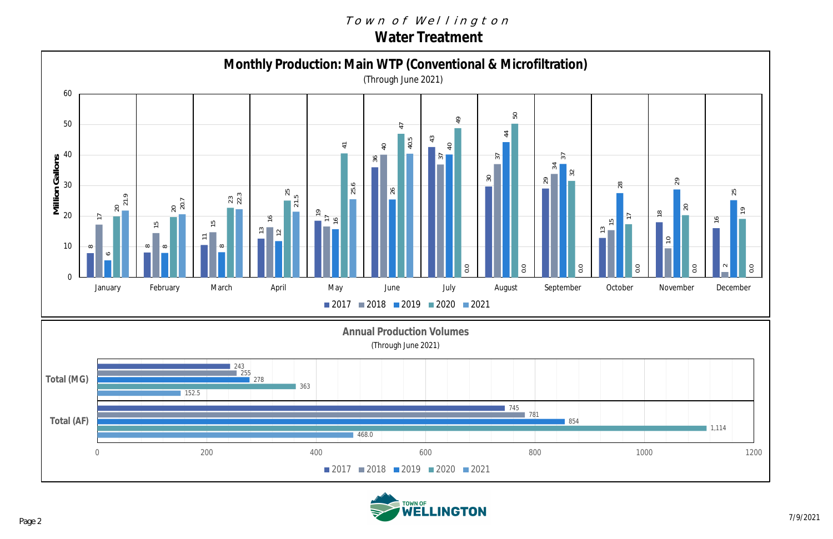### Town of Wellington **Water Treatment**



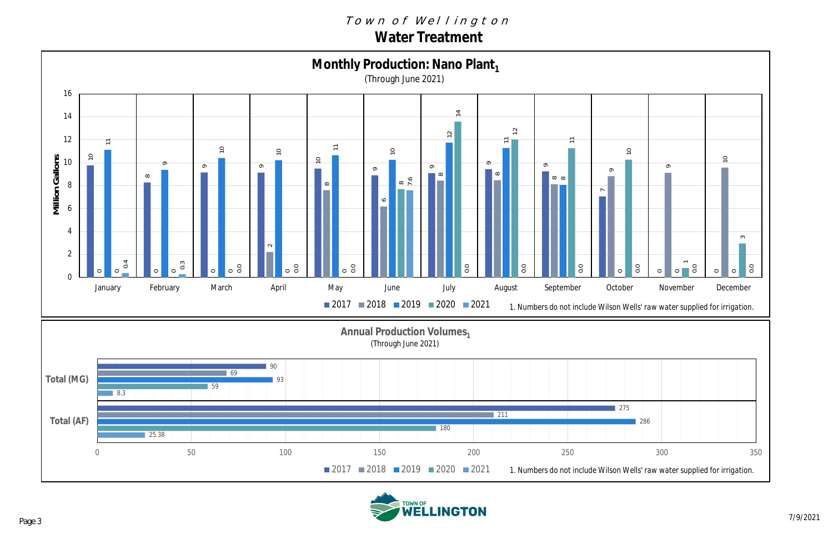### Town of Wellington **Water Treatment**



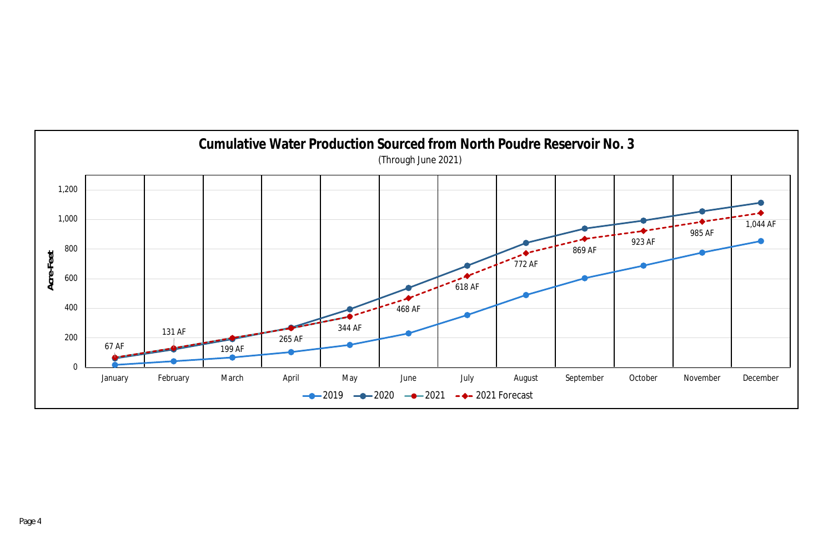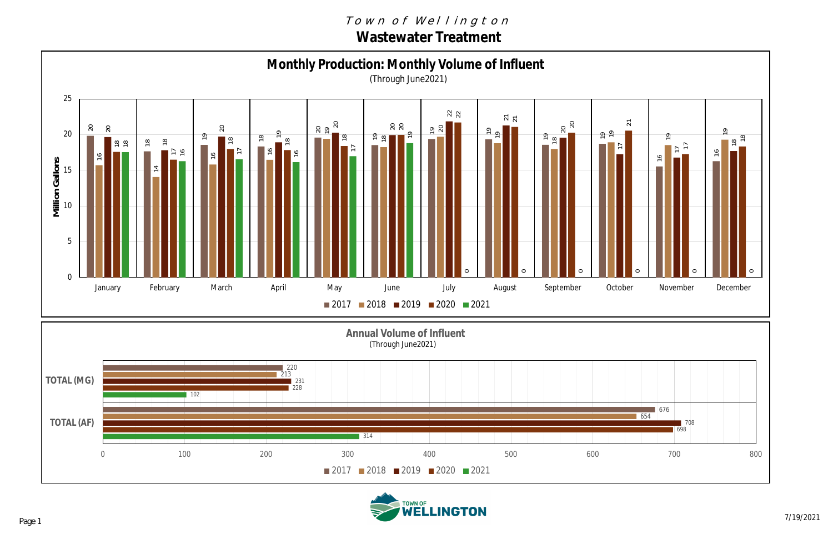## Town of Wellington **Wastewater Treatment**